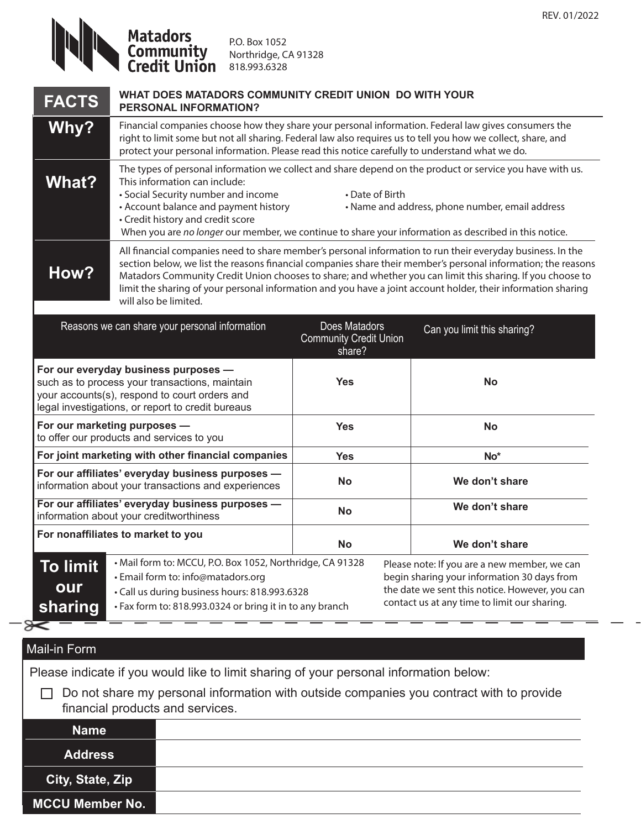P.O. Box 1052 Northridge, CA 91328 818.993.6328

| <b>FACTS</b>                                                                                                                                                                                 | WHAT DOES MATADORS COMMUNITY CREDIT UNION DO WITH YOUR<br><b>PERSONAL INFORMATION?</b>                                                                                                                                                                                                                                                                                                                                                                                              |                                                          |                                                                                                                                                                                               |                             |  |
|----------------------------------------------------------------------------------------------------------------------------------------------------------------------------------------------|-------------------------------------------------------------------------------------------------------------------------------------------------------------------------------------------------------------------------------------------------------------------------------------------------------------------------------------------------------------------------------------------------------------------------------------------------------------------------------------|----------------------------------------------------------|-----------------------------------------------------------------------------------------------------------------------------------------------------------------------------------------------|-----------------------------|--|
| Why?                                                                                                                                                                                         | Financial companies choose how they share your personal information. Federal law gives consumers the<br>right to limit some but not all sharing. Federal law also requires us to tell you how we collect, share, and<br>protect your personal information. Please read this notice carefully to understand what we do.                                                                                                                                                              |                                                          |                                                                                                                                                                                               |                             |  |
| <b>What?</b>                                                                                                                                                                                 | The types of personal information we collect and share depend on the product or service you have with us.<br>This information can include:<br>• Social Security number and income<br>• Date of Birth<br>• Account balance and payment history<br>• Name and address, phone number, email address<br>• Credit history and credit score<br>When you are no longer our member, we continue to share your information as described in this notice.                                      |                                                          |                                                                                                                                                                                               |                             |  |
| How?                                                                                                                                                                                         | All financial companies need to share member's personal information to run their everyday business. In the<br>section below, we list the reasons financial companies share their member's personal information; the reasons<br>Matadors Community Credit Union chooses to share; and whether you can limit this sharing. If you choose to<br>limit the sharing of your personal information and you have a joint account holder, their information sharing<br>will also be limited. |                                                          |                                                                                                                                                                                               |                             |  |
|                                                                                                                                                                                              | Reasons we can share your personal information                                                                                                                                                                                                                                                                                                                                                                                                                                      | Does Matadors<br><b>Community Credit Union</b><br>share? |                                                                                                                                                                                               | Can you limit this sharing? |  |
| For our everyday business purposes -<br>such as to process your transactions, maintain<br>your accounts(s), respond to court orders and<br>legal investigations, or report to credit bureaus |                                                                                                                                                                                                                                                                                                                                                                                                                                                                                     | <b>Yes</b>                                               |                                                                                                                                                                                               | <b>No</b>                   |  |
| For our marketing purposes -<br>to offer our products and services to you                                                                                                                    |                                                                                                                                                                                                                                                                                                                                                                                                                                                                                     | <b>Yes</b>                                               |                                                                                                                                                                                               | <b>No</b>                   |  |
| For joint marketing with other financial companies                                                                                                                                           |                                                                                                                                                                                                                                                                                                                                                                                                                                                                                     | <b>Yes</b>                                               |                                                                                                                                                                                               | No*                         |  |
| For our affiliates' everyday business purposes -<br>information about your transactions and experiences                                                                                      |                                                                                                                                                                                                                                                                                                                                                                                                                                                                                     | <b>No</b>                                                |                                                                                                                                                                                               | We don't share              |  |
| For our affiliates' everyday business purposes -<br>information about your creditworthiness                                                                                                  |                                                                                                                                                                                                                                                                                                                                                                                                                                                                                     | <b>No</b>                                                |                                                                                                                                                                                               | We don't share              |  |
|                                                                                                                                                                                              | For nonaffiliates to market to you                                                                                                                                                                                                                                                                                                                                                                                                                                                  | No                                                       |                                                                                                                                                                                               | We don't share              |  |
| <b>To limit</b><br>our<br>sharing                                                                                                                                                            | • Mail form to: MCCU, P.O. Box 1052, Northridge, CA 91328<br>· Email form to: info@matadors.org<br>• Call us during business hours: 818.993.6328<br>• Fax form to: 818.993.0324 or bring it in to any branch                                                                                                                                                                                                                                                                        |                                                          | Please note: If you are a new member, we can<br>begin sharing your information 30 days from<br>the date we sent this notice. However, you can<br>contact us at any time to limit our sharing. |                             |  |
|                                                                                                                                                                                              |                                                                                                                                                                                                                                                                                                                                                                                                                                                                                     |                                                          |                                                                                                                                                                                               |                             |  |

## Mail-in Form

Please indicate if you would like to limit sharing of your personal information below:

 $\Box$  Do not share my personal information with outside companies you contract with to provide financial products and services.

## **Name Address City, State, Zip MCCU Member No.**